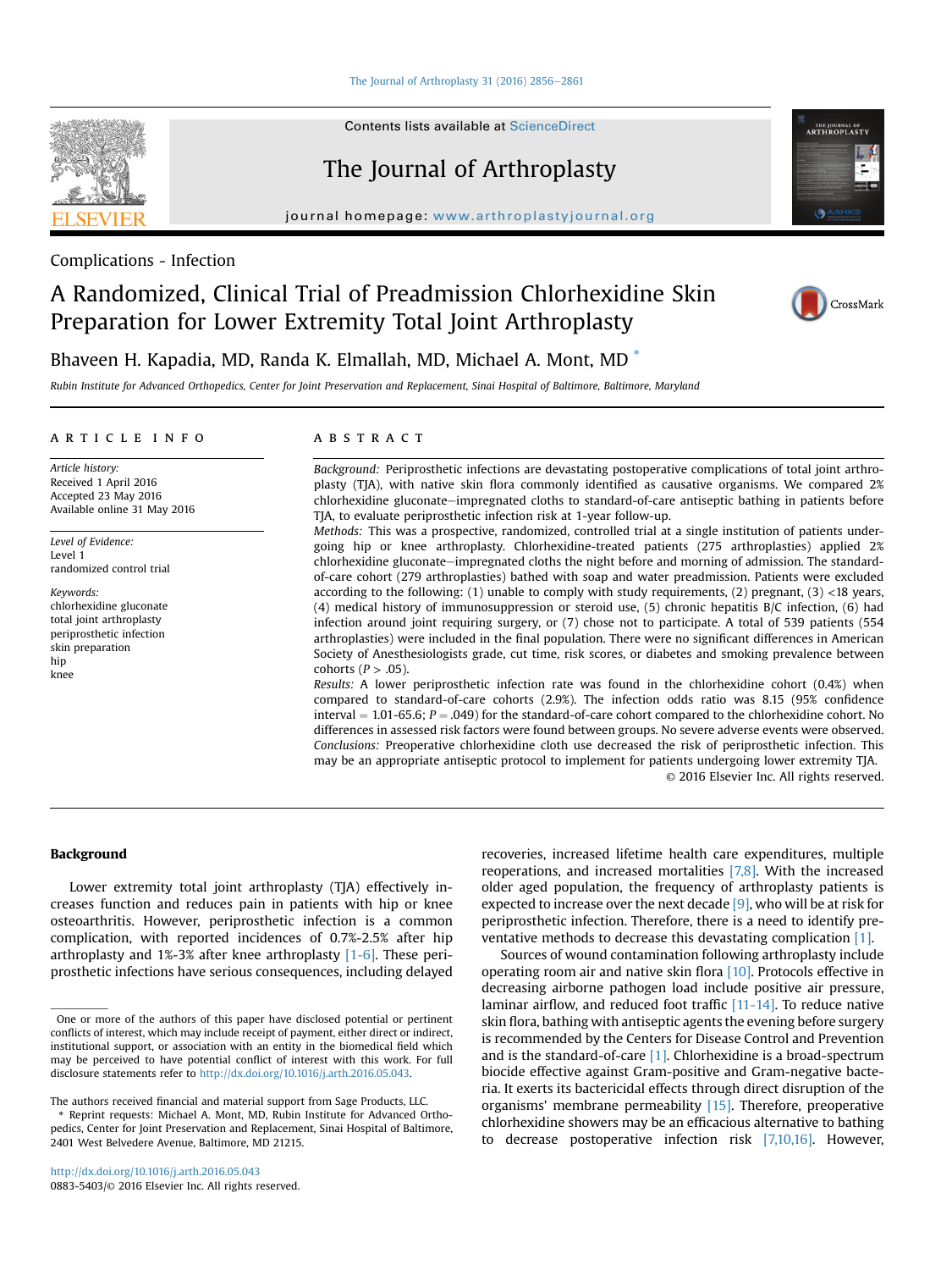[The Journal of Arthroplasty 31 \(2016\) 2856](http://dx.doi.org/10.1016/j.arth.2016.05.043) $-2861$  $-2861$ 

Contents lists available at [ScienceDirect](www.sciencedirect.com/science/journal/08835403)

# The Journal of Arthroplasty

journal homepage: [www.arthroplastyjournal.org](http://www.arthroplastyjournal.org)



# A Randomized, Clinical Trial of Preadmission Chlorhexidine Skin Preparation for Lower Extremity Total Joint Arthroplasty



THE JOURNAL OF<br>**ARTHROPLASTY** 



Bhaveen H. Kapadia, MD, Randa K. Elmallah, MD, Michael A. Mont, MD \*

Rubin Institute for Advanced Orthopedics, Center for Joint Preservation and Replacement, Sinai Hospital of Baltimore, Baltimore, Maryland

# article info

Article history: Received 1 April 2016 Accepted 23 May 2016 Available online 31 May 2016

Level of Evidence: Level 1 randomized control trial

Keywords: chlorhexidine gluconate total joint arthroplasty periprosthetic infection skin preparation hip knee

# **ABSTRACT**

Background: Periprosthetic infections are devastating postoperative complications of total joint arthroplasty (TJA), with native skin flora commonly identified as causative organisms. We compared 2% chlorhexidine gluconate-impregnated cloths to standard-of-care antiseptic bathing in patients before TJA, to evaluate periprosthetic infection risk at 1-year follow-up.

Methods: This was a prospective, randomized, controlled trial at a single institution of patients undergoing hip or knee arthroplasty. Chlorhexidine-treated patients (275 arthroplasties) applied 2% chlorhexidine gluconate-impregnated cloths the night before and morning of admission. The standardof-care cohort (279 arthroplasties) bathed with soap and water preadmission. Patients were excluded according to the following: (1) unable to comply with study requirements, (2) pregnant, (3) <18 years, (4) medical history of immunosuppression or steroid use, (5) chronic hepatitis B/C infection, (6) had infection around joint requiring surgery, or (7) chose not to participate. A total of 539 patients (554 arthroplasties) were included in the final population. There were no significant differences in American Society of Anesthesiologists grade, cut time, risk scores, or diabetes and smoking prevalence between cohorts ( $P > .05$ ).

Results: A lower periprosthetic infection rate was found in the chlorhexidine cohort (0.4%) when compared to standard-of-care cohorts (2.9%). The infection odds ratio was 8.15 (95% confidence interval  $= 1.01-65.6$ ;  $P = .049$ ) for the standard-of-care cohort compared to the chlorhexidine cohort. No differences in assessed risk factors were found between groups. No severe adverse events were observed. Conclusions: Preoperative chlorhexidine cloth use decreased the risk of periprosthetic infection. This may be an appropriate antiseptic protocol to implement for patients undergoing lower extremity TJA. © 2016 Elsevier Inc. All rights reserved.

## Background

Lower extremity total joint arthroplasty (TJA) effectively increases function and reduces pain in patients with hip or knee osteoarthritis. However, periprosthetic infection is a common complication, with reported incidences of 0.7%-2.5% after hip arthroplasty and 1%-3% after knee arthroplasty [\[1-6\]](#page-4-0). These periprosthetic infections have serious consequences, including delayed

The authors received financial and material support from Sage Products, LLC.

\* Reprint requests: Michael A. Mont, MD, Rubin Institute for Advanced Orthopedics, Center for Joint Preservation and Replacement, Sinai Hospital of Baltimore, 2401 West Belvedere Avenue, Baltimore, MD 21215.

recoveries, increased lifetime health care expenditures, multiple reoperations, and increased mortalities [\[7,8\].](#page-4-0) With the increased older aged population, the frequency of arthroplasty patients is expected to increase over the next decade  $[9]$ , who will be at risk for periprosthetic infection. Therefore, there is a need to identify preventative methods to decrease this devastating complication [\[1\].](#page-4-0)

Sources of wound contamination following arthroplasty include operating room air and native skin flora [\[10\].](#page-4-0) Protocols effective in decreasing airborne pathogen load include positive air pressure, laminar airflow, and reduced foot traffic [\[11-14\]](#page-4-0). To reduce native skin flora, bathing with antiseptic agents the evening before surgery is recommended by the Centers for Disease Control and Prevention and is the standard-of-care [\[1\]](#page-4-0). Chlorhexidine is a broad-spectrum biocide effective against Gram-positive and Gram-negative bacteria. It exerts its bactericidal effects through direct disruption of the organisms' membrane permeability [\[15\]](#page-4-0). Therefore, preoperative chlorhexidine showers may be an efficacious alternative to bathing to decrease postoperative infection risk [\[7,10,16\].](#page-4-0) However,

One or more of the authors of this paper have disclosed potential or pertinent conflicts of interest, which may include receipt of payment, either direct or indirect, institutional support, or association with an entity in the biomedical field which may be perceived to have potential conflict of interest with this work. For full disclosure statements refer to <http://dx.doi.org/10.1016/j.arth.2016.05.043>.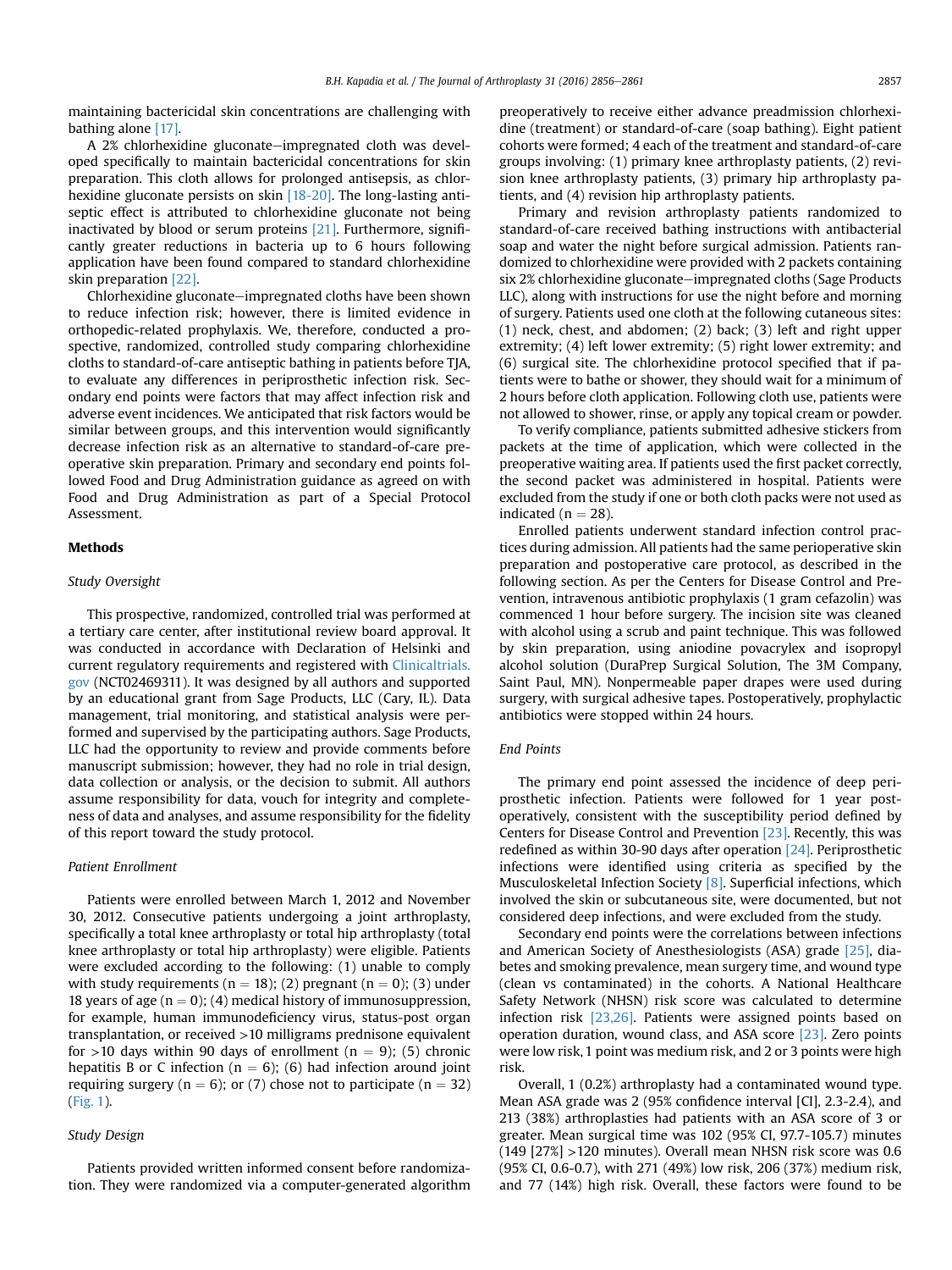maintaining bactericidal skin concentrations are challenging with bathing alone [\[17\]](#page-4-0).

A 2% chlorhexidine gluconate-impregnated cloth was developed specifically to maintain bactericidal concentrations for skin preparation. This cloth allows for prolonged antisepsis, as chlor-hexidine gluconate persists on skin [\[18-20\].](#page-4-0) The long-lasting antiseptic effect is attributed to chlorhexidine gluconate not being inactivated by blood or serum proteins [\[21\].](#page-4-0) Furthermore, significantly greater reductions in bacteria up to 6 hours following application have been found compared to standard chlorhexidine skin preparation [\[22\].](#page-4-0)

Chlorhexidine gluconate—impregnated cloths have been shown to reduce infection risk; however, there is limited evidence in orthopedic-related prophylaxis. We, therefore, conducted a prospective, randomized, controlled study comparing chlorhexidine cloths to standard-of-care antiseptic bathing in patients before TJA, to evaluate any differences in periprosthetic infection risk. Secondary end points were factors that may affect infection risk and adverse event incidences. We anticipated that risk factors would be similar between groups, and this intervention would significantly decrease infection risk as an alternative to standard-of-care preoperative skin preparation. Primary and secondary end points followed Food and Drug Administration guidance as agreed on with Food and Drug Administration as part of a Special Protocol Assessment.

## **Methods**

### Study Oversight

This prospective, randomized, controlled trial was performed at a tertiary care center, after institutional review board approval. It was conducted in accordance with Declaration of Helsinki and current regulatory requirements and registered with [Clinicaltrials.](http://Clinicaltrials.gov) [gov](http://Clinicaltrials.gov) (NCT02469311). It was designed by all authors and supported by an educational grant from Sage Products, LLC (Cary, IL). Data management, trial monitoring, and statistical analysis were performed and supervised by the participating authors. Sage Products, LLC had the opportunity to review and provide comments before manuscript submission; however, they had no role in trial design, data collection or analysis, or the decision to submit. All authors assume responsibility for data, vouch for integrity and completeness of data and analyses, and assume responsibility for the fidelity of this report toward the study protocol.

#### Patient Enrollment

Patients were enrolled between March 1, 2012 and November 30, 2012. Consecutive patients undergoing a joint arthroplasty, specifically a total knee arthroplasty or total hip arthroplasty (total knee arthroplasty or total hip arthroplasty) were eligible. Patients were excluded according to the following: (1) unable to comply with study requirements ( $n = 18$ ); (2) pregnant ( $n = 0$ ); (3) under 18 years of age ( $n = 0$ ); (4) medical history of immunosuppression, for example, human immunodeficiency virus, status-post organ transplantation, or received >10 milligrams prednisone equivalent for >10 days within 90 days of enrollment ( $n = 9$ ); (5) chronic hepatitis B or C infection ( $n = 6$ ); (6) had infection around joint requiring surgery ( $n = 6$ ); or (7) chose not to participate ( $n = 32$ ) ([Fig. 1](#page-2-0)).

# Study Design

Patients provided written informed consent before randomization. They were randomized via a computer-generated algorithm preoperatively to receive either advance preadmission chlorhexidine (treatment) or standard-of-care (soap bathing). Eight patient cohorts were formed; 4 each of the treatment and standard-of-care groups involving: (1) primary knee arthroplasty patients, (2) revision knee arthroplasty patients, (3) primary hip arthroplasty patients, and (4) revision hip arthroplasty patients.

Primary and revision arthroplasty patients randomized to standard-of-care received bathing instructions with antibacterial soap and water the night before surgical admission. Patients randomized to chlorhexidine were provided with 2 packets containing six 2% chlorhexidine gluconate–impregnated cloths (Sage Products LLC), along with instructions for use the night before and morning of surgery. Patients used one cloth at the following cutaneous sites: (1) neck, chest, and abdomen; (2) back; (3) left and right upper extremity; (4) left lower extremity; (5) right lower extremity; and (6) surgical site. The chlorhexidine protocol specified that if patients were to bathe or shower, they should wait for a minimum of 2 hours before cloth application. Following cloth use, patients were not allowed to shower, rinse, or apply any topical cream or powder.

To verify compliance, patients submitted adhesive stickers from packets at the time of application, which were collected in the preoperative waiting area. If patients used the first packet correctly, the second packet was administered in hospital. Patients were excluded from the study if one or both cloth packs were not used as indicated ( $n = 28$ ).

Enrolled patients underwent standard infection control practices during admission. All patients had the same perioperative skin preparation and postoperative care protocol, as described in the following section. As per the Centers for Disease Control and Prevention, intravenous antibiotic prophylaxis (1 gram cefazolin) was commenced 1 hour before surgery. The incision site was cleaned with alcohol using a scrub and paint technique. This was followed by skin preparation, using aniodine povacrylex and isopropyl alcohol solution (DuraPrep Surgical Solution, The 3M Company, Saint Paul, MN). Nonpermeable paper drapes were used during surgery, with surgical adhesive tapes. Postoperatively, prophylactic antibiotics were stopped within 24 hours.

#### End Points

The primary end point assessed the incidence of deep periprosthetic infection. Patients were followed for 1 year postoperatively, consistent with the susceptibility period defined by Centers for Disease Control and Prevention [\[23\]](#page-4-0). Recently, this was redefined as within 30-90 days after operation [\[24\]](#page-4-0). Periprosthetic infections were identified using criteria as specified by the Musculoskeletal Infection Society [\[8\]](#page-4-0). Superficial infections, which involved the skin or subcutaneous site, were documented, but not considered deep infections, and were excluded from the study.

Secondary end points were the correlations between infections and American Society of Anesthesiologists (ASA) grade [\[25\]](#page-4-0), diabetes and smoking prevalence, mean surgery time, and wound type (clean vs contaminated) in the cohorts. A National Healthcare Safety Network (NHSN) risk score was calculated to determine infection risk [\[23,26\]](#page-4-0). Patients were assigned points based on operation duration, wound class, and ASA score [\[23\]](#page-4-0). Zero points were low risk, 1 point was medium risk, and 2 or 3 points were high risk.

Overall, 1 (0.2%) arthroplasty had a contaminated wound type. Mean ASA grade was 2 (95% confidence interval [CI], 2.3-2.4), and 213 (38%) arthroplasties had patients with an ASA score of 3 or greater. Mean surgical time was 102 (95% CI, 97.7-105.7) minutes (149 [27%] >120 minutes). Overall mean NHSN risk score was 0.6 (95% CI, 0.6-0.7), with 271 (49%) low risk, 206 (37%) medium risk, and 77 (14%) high risk. Overall, these factors were found to be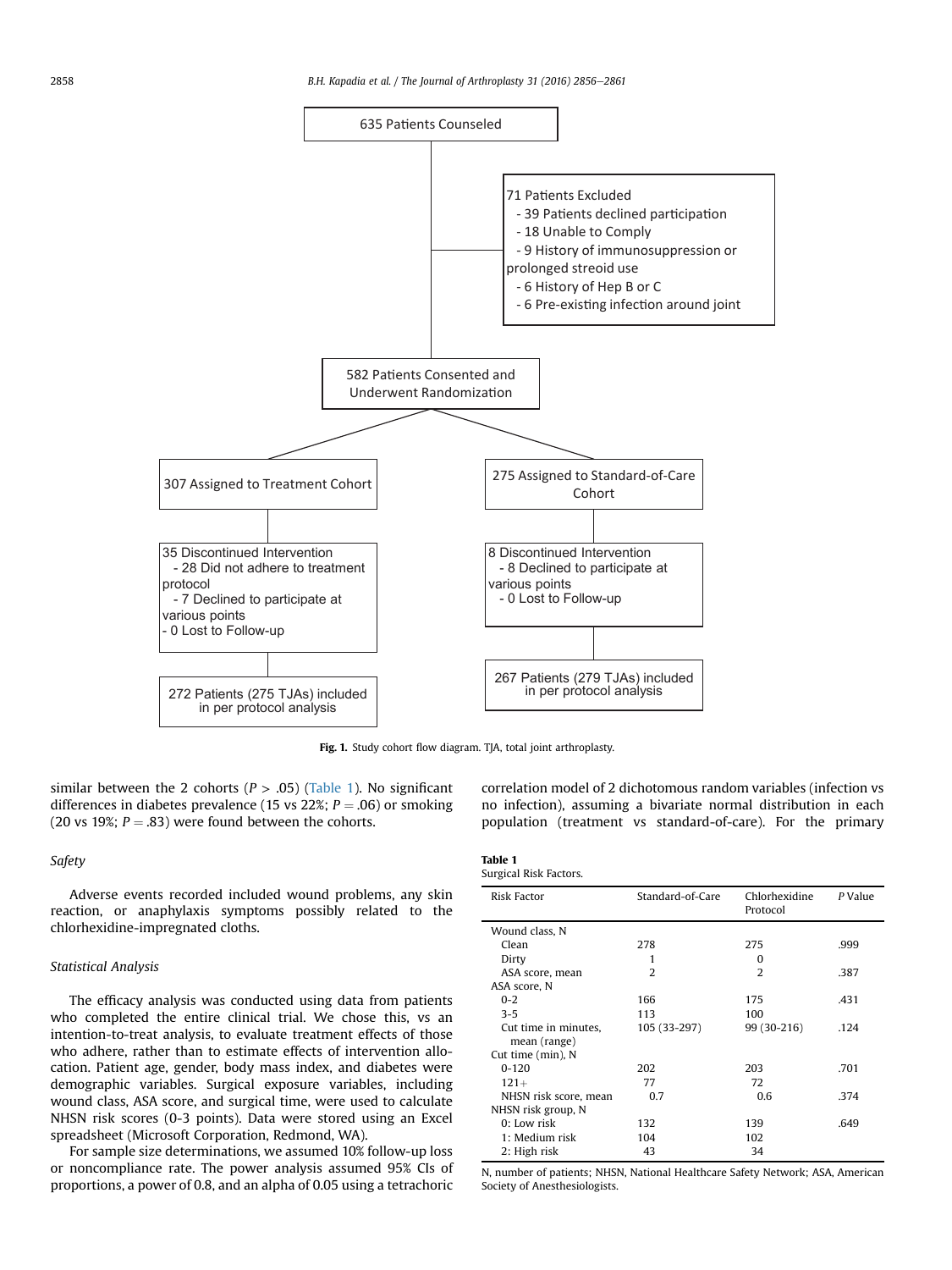<span id="page-2-0"></span>

Fig. 1. Study cohort flow diagram. TJA, total joint arthroplasty.

similar between the 2 cohorts ( $P > .05$ ) (Table 1). No significant differences in diabetes prevalence (15 vs 22%;  $P = .06$ ) or smoking (20 vs 19%;  $P = .83$ ) were found between the cohorts.

#### Safety

Adverse events recorded included wound problems, any skin reaction, or anaphylaxis symptoms possibly related to the chlorhexidine-impregnated cloths.

#### Statistical Analysis

The efficacy analysis was conducted using data from patients who completed the entire clinical trial. We chose this, vs an intention-to-treat analysis, to evaluate treatment effects of those who adhere, rather than to estimate effects of intervention allocation. Patient age, gender, body mass index, and diabetes were demographic variables. Surgical exposure variables, including wound class, ASA score, and surgical time, were used to calculate NHSN risk scores (0-3 points). Data were stored using an Excel spreadsheet (Microsoft Corporation, Redmond, WA).

For sample size determinations, we assumed 10% follow-up loss or noncompliance rate. The power analysis assumed 95% CIs of proportions, a power of 0.8, and an alpha of 0.05 using a tetrachoric

correlation model of 2 dichotomous random variables (infection vs no infection), assuming a bivariate normal distribution in each population (treatment vs standard-of-care). For the primary

#### Table 1 Surgical Risk Factors.

| <b>Risk Factor</b>    | Standard-of-Care | Chlorhexidine<br>Protocol | P Value |
|-----------------------|------------------|---------------------------|---------|
| Wound class, N        |                  |                           |         |
| Clean                 | 278              | 275                       | .999    |
| Dirty                 | 1                | O                         |         |
| ASA score, mean       | $\mathcal{P}$    | $\mathcal{D}$             | .387    |
| ASA score, N          |                  |                           |         |
| $0 - 2$               | 166              | 175                       | .431    |
| $3 - 5$               | 113              | 100                       |         |
| Cut time in minutes,  | 105 (33-297)     | 99 (30-216)               | .124    |
| mean (range)          |                  |                           |         |
| Cut time (min), N     |                  |                           |         |
| $0 - 120$             | 202              | 203                       | .701    |
| $121+$                | 77               | 72                        |         |
| NHSN risk score, mean | 0.7              | 0.6                       | .374    |
| NHSN risk group, N    |                  |                           |         |
| $0:$ Low risk         | 132              | 139                       | .649    |
| 1: Medium risk        | 104              | 102                       |         |
| 2: High risk          | 43               | 34                        |         |
|                       |                  |                           |         |

N, number of patients; NHSN, National Healthcare Safety Network; ASA, American Society of Anesthesiologists.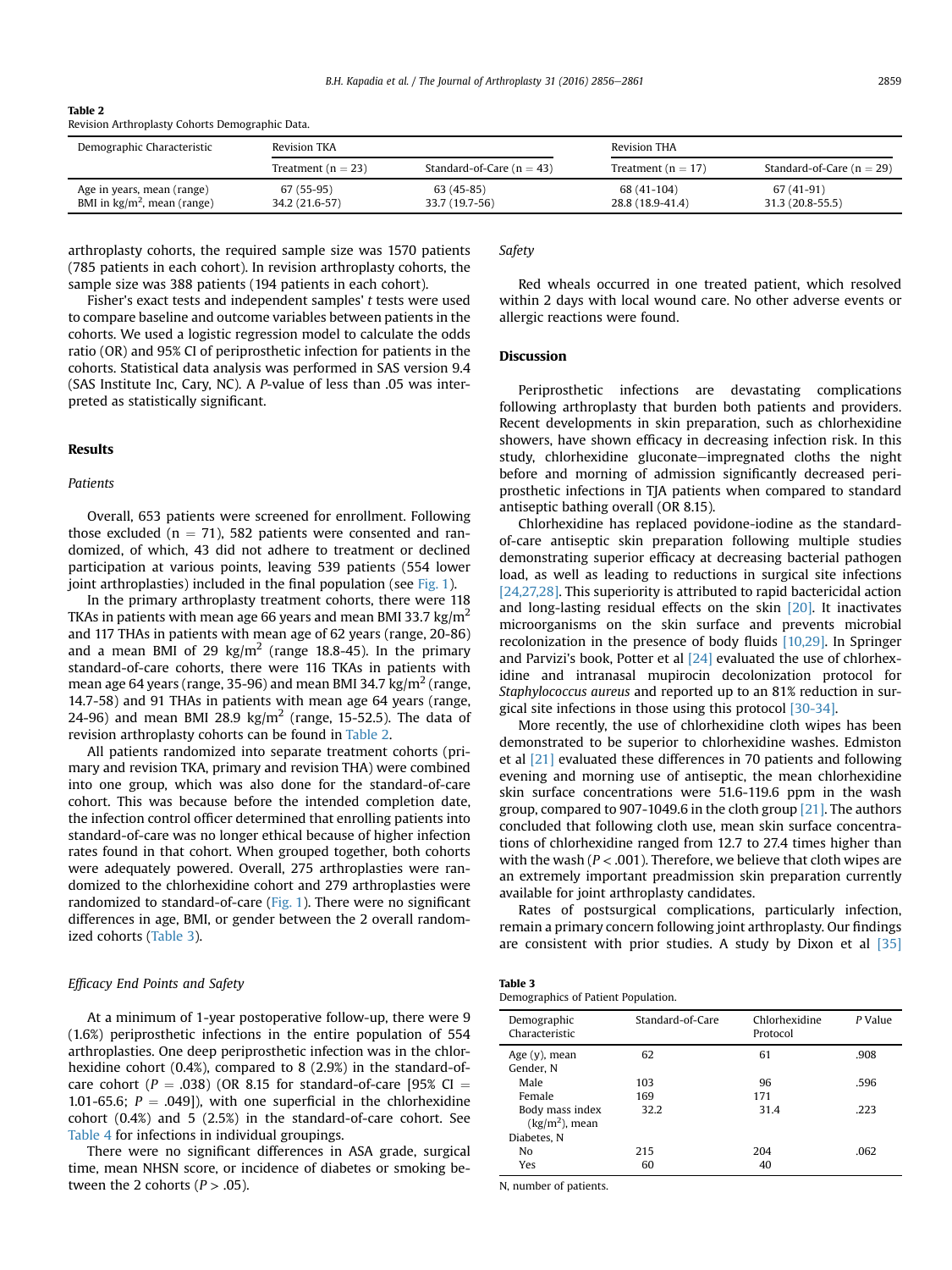| -ladie 2                                        |  |  |
|-------------------------------------------------|--|--|
| Revision Arthroplasty Cohorts Demographic Data. |  |  |

| Demographic Characteristic                                          | Revision TKA                 |                               |                                 | <b>Revision THA</b>             |  |
|---------------------------------------------------------------------|------------------------------|-------------------------------|---------------------------------|---------------------------------|--|
|                                                                     | Treatment ( $n = 23$ )       | Standard-of-Care ( $n = 43$ ) | Treatment ( $n = 17$ )          | Standard-of-Care ( $n = 29$ )   |  |
| Age in years, mean (range)<br>BMI in $\text{kg/m}^2$ , mean (range) | 67 (55-95)<br>34.2 (21.6-57) | 63 (45-85)<br>33.7 (19.7-56)  | 68 (41-104)<br>28.8 (18.9-41.4) | 67 (41-91)<br>$31.3(20.8-55.5)$ |  |

arthroplasty cohorts, the required sample size was 1570 patients (785 patients in each cohort). In revision arthroplasty cohorts, the sample size was 388 patients (194 patients in each cohort).

Fisher's exact tests and independent samples' t tests were used to compare baseline and outcome variables between patients in the cohorts. We used a logistic regression model to calculate the odds ratio (OR) and 95% CI of periprosthetic infection for patients in the cohorts. Statistical data analysis was performed in SAS version 9.4 (SAS Institute Inc, Cary, NC). A P-value of less than .05 was interpreted as statistically significant.

# Results

Table 2

## Patients

Overall, 653 patients were screened for enrollment. Following those excluded ( $n = 71$ ), 582 patients were consented and randomized, of which, 43 did not adhere to treatment or declined participation at various points, leaving 539 patients (554 lower joint arthroplasties) included in the final population (see [Fig. 1](#page-2-0)).

In the primary arthroplasty treatment cohorts, there were 118 TKAs in patients with mean age 66 years and mean BMI 33.7 kg/m<sup>2</sup> and 117 THAs in patients with mean age of 62 years (range, 20-86) and a mean BMI of 29  $\text{kg/m}^2$  (range 18.8-45). In the primary standard-of-care cohorts, there were 116 TKAs in patients with mean age 64 years (range, 35-96) and mean BMI 34.7 kg/m<sup>2</sup> (range, 14.7-58) and 91 THAs in patients with mean age 64 years (range, 24-96) and mean BMI 28.9 kg/m<sup>2</sup> (range, 15-52.5). The data of revision arthroplasty cohorts can be found in Table 2.

All patients randomized into separate treatment cohorts (primary and revision TKA, primary and revision THA) were combined into one group, which was also done for the standard-of-care cohort. This was because before the intended completion date, the infection control officer determined that enrolling patients into standard-of-care was no longer ethical because of higher infection rates found in that cohort. When grouped together, both cohorts were adequately powered. Overall, 275 arthroplasties were randomized to the chlorhexidine cohort and 279 arthroplasties were randomized to standard-of-care [\(Fig. 1](#page-2-0)). There were no significant differences in age, BMI, or gender between the 2 overall randomized cohorts (Table 3).

## Efficacy End Points and Safety

At a minimum of 1-year postoperative follow-up, there were 9 (1.6%) periprosthetic infections in the entire population of 554 arthroplasties. One deep periprosthetic infection was in the chlorhexidine cohort (0.4%), compared to 8 (2.9%) in the standard-ofcare cohort ( $P = .038$ ) (OR 8.15 for standard-of-care [95% CI = 1.01-65.6;  $P = .049$ ]), with one superficial in the chlorhexidine cohort (0.4%) and 5 (2.5%) in the standard-of-care cohort. See [Table 4](#page-4-0) for infections in individual groupings.

There were no significant differences in ASA grade, surgical time, mean NHSN score, or incidence of diabetes or smoking between the 2 cohorts ( $P > .05$ ).

Safety

Red wheals occurred in one treated patient, which resolved within 2 days with local wound care. No other adverse events or allergic reactions were found.

## Discussion

Periprosthetic infections are devastating complications following arthroplasty that burden both patients and providers. Recent developments in skin preparation, such as chlorhexidine showers, have shown efficacy in decreasing infection risk. In this study, chlorhexidine gluconate-impregnated cloths the night before and morning of admission significantly decreased periprosthetic infections in TJA patients when compared to standard antiseptic bathing overall (OR 8.15).

Chlorhexidine has replaced povidone-iodine as the standardof-care antiseptic skin preparation following multiple studies demonstrating superior efficacy at decreasing bacterial pathogen load, as well as leading to reductions in surgical site infections [\[24,27,28\].](#page-4-0) This superiority is attributed to rapid bactericidal action and long-lasting residual effects on the skin  $[20]$ . It inactivates microorganisms on the skin surface and prevents microbial recolonization in the presence of body fluids [\[10,29\].](#page-4-0) In Springer and Parvizi's book, Potter et al  $[24]$  evaluated the use of chlorhexidine and intranasal mupirocin decolonization protocol for Staphylococcus aureus and reported up to an 81% reduction in surgical site infections in those using this protocol [\[30-34\]](#page-4-0).

More recently, the use of chlorhexidine cloth wipes has been demonstrated to be superior to chlorhexidine washes. Edmiston et al [\[21\]](#page-4-0) evaluated these differences in 70 patients and following evening and morning use of antiseptic, the mean chlorhexidine skin surface concentrations were 51.6-119.6 ppm in the wash group, compared to 907-1049.6 in the cloth group [\[21\]](#page-4-0). The authors concluded that following cloth use, mean skin surface concentrations of chlorhexidine ranged from 12.7 to 27.4 times higher than with the wash ( $P < .001$ ). Therefore, we believe that cloth wipes are an extremely important preadmission skin preparation currently available for joint arthroplasty candidates.

Rates of postsurgical complications, particularly infection, remain a primary concern following joint arthroplasty. Our findings are consistent with prior studies. A study by Dixon et al [\[35\]](#page-5-0)

| Table 3                             |  |
|-------------------------------------|--|
| Demographics of Patient Population. |  |

| Demographic<br>Characteristic       | Standard-of-Care | Chlorhexidine<br>Protocol | P Value |
|-------------------------------------|------------------|---------------------------|---------|
| Age $(y)$ , mean<br>Gender, N       | 62               | 61                        | .908    |
| Male                                | 103              | 96                        | .596    |
| Female                              | 169              | 171                       |         |
| Body mass index<br>$(kg/m2)$ , mean | 32.2             | 31.4                      | .223    |
| Diabetes. N                         |                  |                           |         |
| No                                  | 215              | 204                       | .062    |
| Yes                                 | 60               | 40                        |         |

N, number of patients.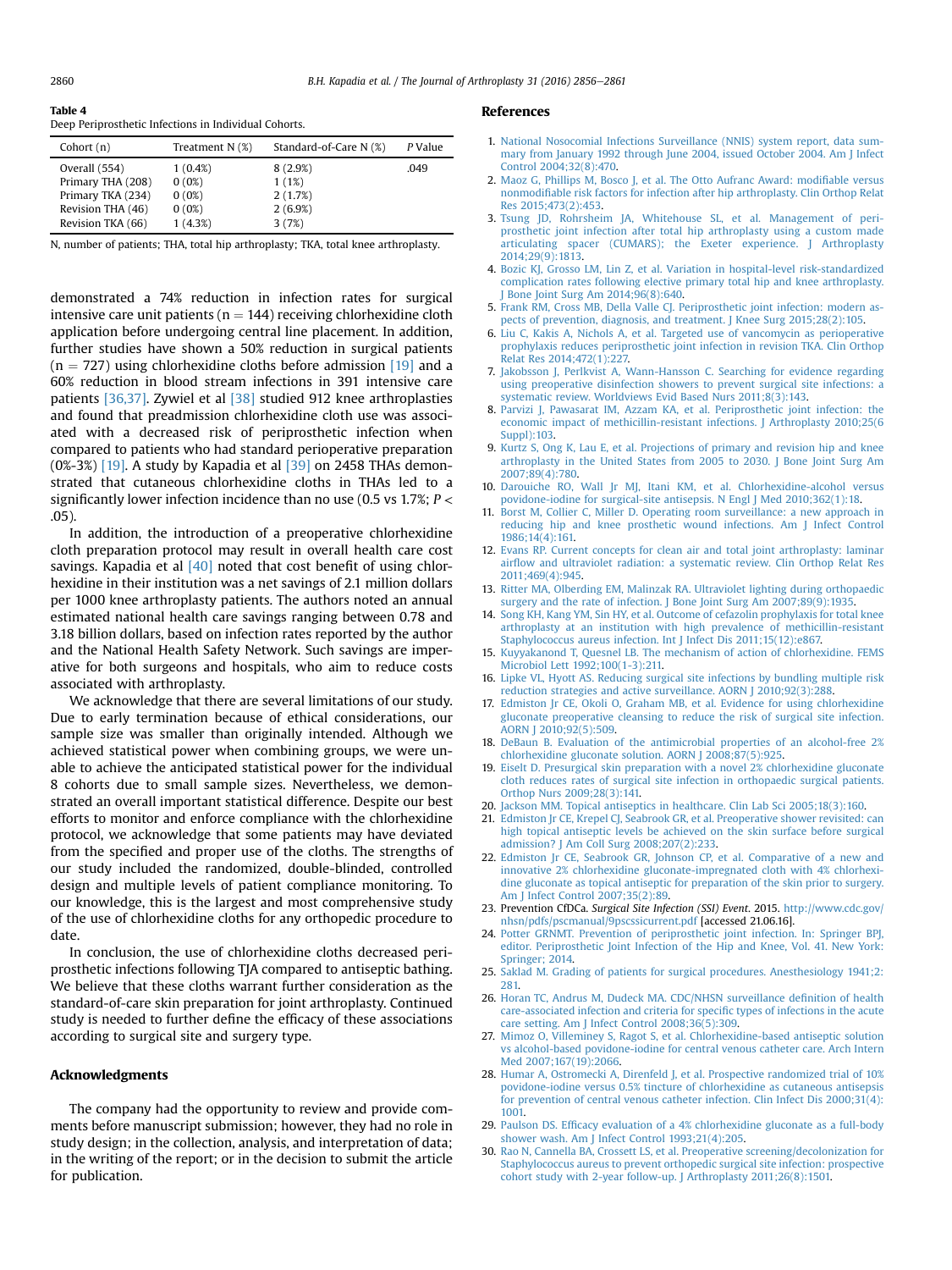#### <span id="page-4-0"></span>Table 4 Deep Periprosthetic Infections in Individual Cohorts.

| Cohort $(n)$      | Treatment $N$ $(\%)$ | Standard-of-Care N (%) | P Value |
|-------------------|----------------------|------------------------|---------|
| Overall (554)     | $1(0.4\%)$           | 8(2.9%)                | .049    |
| Primary THA (208) | 0(0%)                | 1(1%)                  |         |
| Primary TKA (234) | 0(0%)                | 2(1.7%)                |         |
| Revision THA (46) | 0(0%)                | 2(6.9%)                |         |
| Revision TKA (66) | 1(4.3%)              | 3(7%)                  |         |

N, number of patients; THA, total hip arthroplasty; TKA, total knee arthroplasty.

demonstrated a 74% reduction in infection rates for surgical intensive care unit patients ( $n = 144$ ) receiving chlorhexidine cloth application before undergoing central line placement. In addition, further studies have shown a 50% reduction in surgical patients  $(n = 727)$  using chlorhexidine cloths before admission [19] and a 60% reduction in blood stream infections in 391 intensive care patients [\[36,37\]](#page-5-0). Zywiel et al [\[38\]](#page-5-0) studied 912 knee arthroplasties and found that preadmission chlorhexidine cloth use was associated with a decreased risk of periprosthetic infection when compared to patients who had standard perioperative preparation  $(0\% - 3\%)$  [19]. A study by Kapadia et al [\[39\]](#page-5-0) on 2458 THAs demonstrated that cutaneous chlorhexidine cloths in THAs led to a significantly lower infection incidence than no use (0.5 vs 1.7%;  $P <$ .05).

In addition, the introduction of a preoperative chlorhexidine cloth preparation protocol may result in overall health care cost savings. Kapadia et al  $[40]$  noted that cost benefit of using chlorhexidine in their institution was a net savings of 2.1 million dollars per 1000 knee arthroplasty patients. The authors noted an annual estimated national health care savings ranging between 0.78 and 3.18 billion dollars, based on infection rates reported by the author and the National Health Safety Network. Such savings are imperative for both surgeons and hospitals, who aim to reduce costs associated with arthroplasty.

We acknowledge that there are several limitations of our study. Due to early termination because of ethical considerations, our sample size was smaller than originally intended. Although we achieved statistical power when combining groups, we were unable to achieve the anticipated statistical power for the individual 8 cohorts due to small sample sizes. Nevertheless, we demonstrated an overall important statistical difference. Despite our best efforts to monitor and enforce compliance with the chlorhexidine protocol, we acknowledge that some patients may have deviated from the specified and proper use of the cloths. The strengths of our study included the randomized, double-blinded, controlled design and multiple levels of patient compliance monitoring. To our knowledge, this is the largest and most comprehensive study of the use of chlorhexidine cloths for any orthopedic procedure to date.

In conclusion, the use of chlorhexidine cloths decreased periprosthetic infections following TJA compared to antiseptic bathing. We believe that these cloths warrant further consideration as the standard-of-care skin preparation for joint arthroplasty. Continued study is needed to further define the efficacy of these associations according to surgical site and surgery type.

#### Acknowledgments

The company had the opportunity to review and provide comments before manuscript submission; however, they had no role in study design; in the collection, analysis, and interpretation of data; in the writing of the report; or in the decision to submit the article for publication.

#### References

- 1. [National Nosocomial Infections Surveillance \(NNIS\) system report, data sum](http://refhub.elsevier.com/S0883-5403(16)30222-4/sref1)[mary from January 1992 through June 2004, issued October 2004. Am J Infect](http://refhub.elsevier.com/S0883-5403(16)30222-4/sref1) [Control 2004;32\(8\):470](http://refhub.elsevier.com/S0883-5403(16)30222-4/sref1).
- 2. [Maoz G, Phillips M, Bosco J, et al. The Otto Aufranc Award: modi](http://refhub.elsevier.com/S0883-5403(16)30222-4/sref2)fiable versus nonmodifi[able risk factors for infection after hip arthroplasty. Clin Orthop Relat](http://refhub.elsevier.com/S0883-5403(16)30222-4/sref2) [Res 2015;473\(2\):453](http://refhub.elsevier.com/S0883-5403(16)30222-4/sref2).
- 3. [Tsung JD, Rohrsheim JA, Whitehouse SL, et al. Management of peri](http://refhub.elsevier.com/S0883-5403(16)30222-4/sref3)[prosthetic joint infection after total hip arthroplasty using a custom made](http://refhub.elsevier.com/S0883-5403(16)30222-4/sref3) [articulating spacer \(CUMARS\); the Exeter experience. J Arthroplasty](http://refhub.elsevier.com/S0883-5403(16)30222-4/sref3) [2014;29\(9\):1813.](http://refhub.elsevier.com/S0883-5403(16)30222-4/sref3)
- 4. [Bozic KJ, Grosso LM, Lin Z, et al. Variation in hospital-level risk-standardized](http://refhub.elsevier.com/S0883-5403(16)30222-4/sref4) [complication rates following elective primary total hip and knee arthroplasty.](http://refhub.elsevier.com/S0883-5403(16)30222-4/sref4) [J Bone Joint Surg Am 2014;96\(8\):640.](http://refhub.elsevier.com/S0883-5403(16)30222-4/sref4)
- 5. [Frank RM, Cross MB, Della Valle CJ. Periprosthetic joint infection: modern as](http://refhub.elsevier.com/S0883-5403(16)30222-4/sref5)ects of prevention, diagnosis, and treatment. J Knee Surg 2015;28(2):105.
- 6. [Liu C, Kakis A, Nichols A, et al. Targeted use of vancomycin as perioperative](http://refhub.elsevier.com/S0883-5403(16)30222-4/sref6) [prophylaxis reduces periprosthetic joint infection in revision TKA. Clin Orthop](http://refhub.elsevier.com/S0883-5403(16)30222-4/sref6) [Relat Res 2014;472\(1\):227.](http://refhub.elsevier.com/S0883-5403(16)30222-4/sref6)
- 7. [Jakobsson J, Perlkvist A, Wann-Hansson C. Searching for evidence regarding](http://refhub.elsevier.com/S0883-5403(16)30222-4/sref7) [using preoperative disinfection showers to prevent surgical site infections: a](http://refhub.elsevier.com/S0883-5403(16)30222-4/sref7) [systematic review. Worldviews Evid Based Nurs 2011;8\(3\):143](http://refhub.elsevier.com/S0883-5403(16)30222-4/sref7).
- 8. [Parvizi J, Pawasarat IM, Azzam KA, et al. Periprosthetic joint infection: the](http://refhub.elsevier.com/S0883-5403(16)30222-4/sref8) [economic impact of methicillin-resistant infections. J Arthroplasty 2010;25\(6](http://refhub.elsevier.com/S0883-5403(16)30222-4/sref8) [Suppl\):103](http://refhub.elsevier.com/S0883-5403(16)30222-4/sref8).
- 9. [Kurtz S, Ong K, Lau E, et al. Projections of primary and revision hip and knee](http://refhub.elsevier.com/S0883-5403(16)30222-4/sref9) [arthroplasty in the United States from 2005 to 2030. J Bone Joint Surg Am](http://refhub.elsevier.com/S0883-5403(16)30222-4/sref9) [2007;89\(4\):780.](http://refhub.elsevier.com/S0883-5403(16)30222-4/sref9)
- 10. [Darouiche RO, Wall Jr MJ, Itani KM, et al. Chlorhexidine-alcohol versus](http://refhub.elsevier.com/S0883-5403(16)30222-4/sref10) [povidone-iodine for surgical-site antisepsis. N Engl J Med 2010;362\(1\):18](http://refhub.elsevier.com/S0883-5403(16)30222-4/sref10).
- 11. [Borst M, Collier C, Miller D. Operating room surveillance: a new approach in](http://refhub.elsevier.com/S0883-5403(16)30222-4/sref11) [reducing hip and knee prosthetic wound infections. Am J Infect Control](http://refhub.elsevier.com/S0883-5403(16)30222-4/sref11) [1986;14\(4\):161.](http://refhub.elsevier.com/S0883-5403(16)30222-4/sref11)
- 12. [Evans RP. Current concepts for clean air and total joint arthroplasty: laminar](http://refhub.elsevier.com/S0883-5403(16)30222-4/sref12) airfl[ow and ultraviolet radiation: a systematic review. Clin Orthop Relat Res](http://refhub.elsevier.com/S0883-5403(16)30222-4/sref12) [2011;469\(4\):945.](http://refhub.elsevier.com/S0883-5403(16)30222-4/sref12)
- 13. [Ritter MA, Olberding EM, Malinzak RA. Ultraviolet lighting during orthopaedic](http://refhub.elsevier.com/S0883-5403(16)30222-4/sref13) [surgery and the rate of infection. J Bone Joint Surg Am 2007;89\(9\):1935.](http://refhub.elsevier.com/S0883-5403(16)30222-4/sref13)
- 14. [Song KH, Kang YM, Sin HY, et al. Outcome of cefazolin prophylaxis for total knee](http://refhub.elsevier.com/S0883-5403(16)30222-4/sref14) [arthroplasty at an institution with high prevalence of methicillin-resistant](http://refhub.elsevier.com/S0883-5403(16)30222-4/sref14) [Staphylococcus aureus infection. Int J Infect Dis 2011;15\(12\):e867.](http://refhub.elsevier.com/S0883-5403(16)30222-4/sref14)
- 15. [Kuyyakanond T, Quesnel LB. The mechanism of action of chlorhexidine. FEMS](http://refhub.elsevier.com/S0883-5403(16)30222-4/sref15) [Microbiol Lett 1992;100\(1-3\):211.](http://refhub.elsevier.com/S0883-5403(16)30222-4/sref15)
- 16. [Lipke VL, Hyott AS. Reducing surgical site infections by bundling multiple risk](http://refhub.elsevier.com/S0883-5403(16)30222-4/sref16) [reduction strategies and active surveillance. AORN J 2010;92\(3\):288](http://refhub.elsevier.com/S0883-5403(16)30222-4/sref16).
- 17. [Edmiston Jr CE, Okoli O, Graham MB, et al. Evidence for using chlorhexidine](http://refhub.elsevier.com/S0883-5403(16)30222-4/sref17) [gluconate preoperative cleansing to reduce the risk of surgical site infection.](http://refhub.elsevier.com/S0883-5403(16)30222-4/sref17) [AORN J 2010;92\(5\):509](http://refhub.elsevier.com/S0883-5403(16)30222-4/sref17).
- 18. [DeBaun B. Evaluation of the antimicrobial properties of an alcohol-free 2%](http://refhub.elsevier.com/S0883-5403(16)30222-4/sref18) [chlorhexidine gluconate solution. AORN J 2008;87\(5\):925](http://refhub.elsevier.com/S0883-5403(16)30222-4/sref18).
- 19. [Eiselt D. Presurgical skin preparation with a novel 2% chlorhexidine gluconate](http://refhub.elsevier.com/S0883-5403(16)30222-4/sref19) [cloth reduces rates of surgical site infection in orthopaedic surgical patients.](http://refhub.elsevier.com/S0883-5403(16)30222-4/sref19) [Orthop Nurs 2009;28\(3\):141.](http://refhub.elsevier.com/S0883-5403(16)30222-4/sref19)
- 20. [Jackson MM. Topical antiseptics in healthcare. Clin Lab Sci 2005;18\(3\):160](http://refhub.elsevier.com/S0883-5403(16)30222-4/sref20).
- 21. [Edmiston Jr CE, Krepel CJ, Seabrook GR, et al. Preoperative shower revisited: can](http://refhub.elsevier.com/S0883-5403(16)30222-4/sref21) [high topical antiseptic levels be achieved on the skin surface before surgical](http://refhub.elsevier.com/S0883-5403(16)30222-4/sref21) [admission? J Am Coll Surg 2008;207\(2\):233.](http://refhub.elsevier.com/S0883-5403(16)30222-4/sref21)
- 22. [Edmiston Jr CE, Seabrook GR, Johnson CP, et al. Comparative of a new and](http://refhub.elsevier.com/S0883-5403(16)30222-4/sref22) [innovative 2% chlorhexidine gluconate-impregnated cloth with 4% chlorhexi](http://refhub.elsevier.com/S0883-5403(16)30222-4/sref22)[dine gluconate as topical antiseptic for preparation of the skin prior to surgery.](http://refhub.elsevier.com/S0883-5403(16)30222-4/sref22) [Am J Infect Control 2007;35\(2\):89.](http://refhub.elsevier.com/S0883-5403(16)30222-4/sref22)
- 23. Prevention CfDCa. Surgical Site Infection (SSI) Event. 2015. [http://www.cdc.gov/](http://www.cdc.gov/nhsn/pdfs/pscmanual/9pscssicurrent.pdf) [nhsn/pdfs/pscmanual/9pscssicurrent.pdf](http://www.cdc.gov/nhsn/pdfs/pscmanual/9pscssicurrent.pdf) [accessed 21.06.16].
- 24. [Potter GRNMT. Prevention of periprosthetic joint infection. In: Springer BPJ,](http://refhub.elsevier.com/S0883-5403(16)30222-4/sref24) [editor. Periprosthetic Joint Infection of the Hip and Knee, Vol. 41. New York:](http://refhub.elsevier.com/S0883-5403(16)30222-4/sref24) [Springer; 2014](http://refhub.elsevier.com/S0883-5403(16)30222-4/sref24).
- 25. [Saklad M. Grading of patients for surgical procedures. Anesthesiology 1941;2:](http://refhub.elsevier.com/S0883-5403(16)30222-4/sref25) [281.](http://refhub.elsevier.com/S0883-5403(16)30222-4/sref25)
- 26. [Horan TC, Andrus M, Dudeck MA. CDC/NHSN surveillance de](http://refhub.elsevier.com/S0883-5403(16)30222-4/sref26)finition of health [care-associated infection and criteria for speci](http://refhub.elsevier.com/S0883-5403(16)30222-4/sref26)fic types of infections in the acute [care setting. Am J Infect Control 2008;36\(5\):309.](http://refhub.elsevier.com/S0883-5403(16)30222-4/sref26)
- 27. [Mimoz O, Villeminey S, Ragot S, et al. Chlorhexidine-based antiseptic solution](http://refhub.elsevier.com/S0883-5403(16)30222-4/sref27) [vs alcohol-based povidone-iodine for central venous catheter care. Arch Intern](http://refhub.elsevier.com/S0883-5403(16)30222-4/sref27) [Med 2007;167\(19\):2066](http://refhub.elsevier.com/S0883-5403(16)30222-4/sref27).
- 28. [Humar A, Ostromecki A, Direnfeld J, et al. Prospective randomized trial of 10%](http://refhub.elsevier.com/S0883-5403(16)30222-4/sref28) [povidone-iodine versus 0.5% tincture of chlorhexidine as cutaneous antisepsis](http://refhub.elsevier.com/S0883-5403(16)30222-4/sref28) [for prevention of central venous catheter infection. Clin Infect Dis 2000;31\(4\):](http://refhub.elsevier.com/S0883-5403(16)30222-4/sref28) [1001.](http://refhub.elsevier.com/S0883-5403(16)30222-4/sref28)
- 29. Paulson DS. Effi[cacy evaluation of a 4% chlorhexidine gluconate as a full-body](http://refhub.elsevier.com/S0883-5403(16)30222-4/sref29) [shower wash. Am J Infect Control 1993;21\(4\):205.](http://refhub.elsevier.com/S0883-5403(16)30222-4/sref29)
- 30. [Rao N, Cannella BA, Crossett LS, et al. Preoperative screening/decolonization for](http://refhub.elsevier.com/S0883-5403(16)30222-4/sref30) [Staphylococcus aureus to prevent orthopedic surgical site infection: prospective](http://refhub.elsevier.com/S0883-5403(16)30222-4/sref30) [cohort study with 2-year follow-up. J Arthroplasty 2011;26\(8\):1501.](http://refhub.elsevier.com/S0883-5403(16)30222-4/sref30)